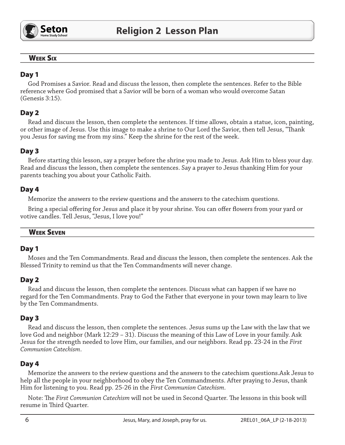

# **WEEK SIX**

# Day 1

God Promises a Savior. Read and discuss the lesson, then complete the sentences. Refer to the Bible reference where God promised that a Savior will be born of a woman who would overcome Satan (Genesis 3:15).

# Day 2

Read and discuss the lesson, then complete the sentences. If time allows, obtain a statue, icon, painting, or other image of Jesus. Use this image to make a shrine to Our Lord the Savior, then tell Jesus, "Thank you Jesus for saving me from my sins." Keep the shrine for the rest of the week.

# Day 3

Before starting this lesson, say a prayer before the shrine you made to Jesus. Ask Him to bless your day. Read and discuss the lesson, then complete the sentences. Say a prayer to Jesus thanking Him for your parents teaching you about your Catholic Faith.

# Day 4

Memorize the answers to the review questions and the answers to the catechism questions.

Bring a special offering for Jesus and place it by your shrine. You can offer flowers from your yard or votive candles. Tell Jesus, "Jesus, I love you!"

#### **WEEK SEVEN**

### Day 1

Moses and the Ten Commandments. Read and discuss the lesson, then complete the sentences. Ask the Blessed Trinity to remind us that the Ten Commandments will never change.

### Day 2

Read and discuss the lesson, then complete the sentences. Discuss what can happen if we have no regard for the Ten Commandments. Pray to God the Father that everyone in your town may learn to live by the Ten Commandments.

# Day 3

Read and discuss the lesson, then complete the sentences. Jesus sums up the Law with the law that we love God and neighbor (Mark  $12:29 - 31$ ). Discuss the meaning of this Law of Love in your family. Ask Jesus for the strength needed to love Him, our families, and our neighbors. Read pp. 23-24 in the First Communion Catechism.

# Day 4

Memorize the answers to the review questions and the answers to the catechism questions. Ask Jesus to help all the people in your neighborhood to obey the Ten Commandments. After praying to Jesus, thank Him for listening to you. Read pp. 25-26 in the First Communion Catechism.

Note: The First Communion Catechism will not be used in Second Quarter. The lessons in this book will resume in Third Quarter.